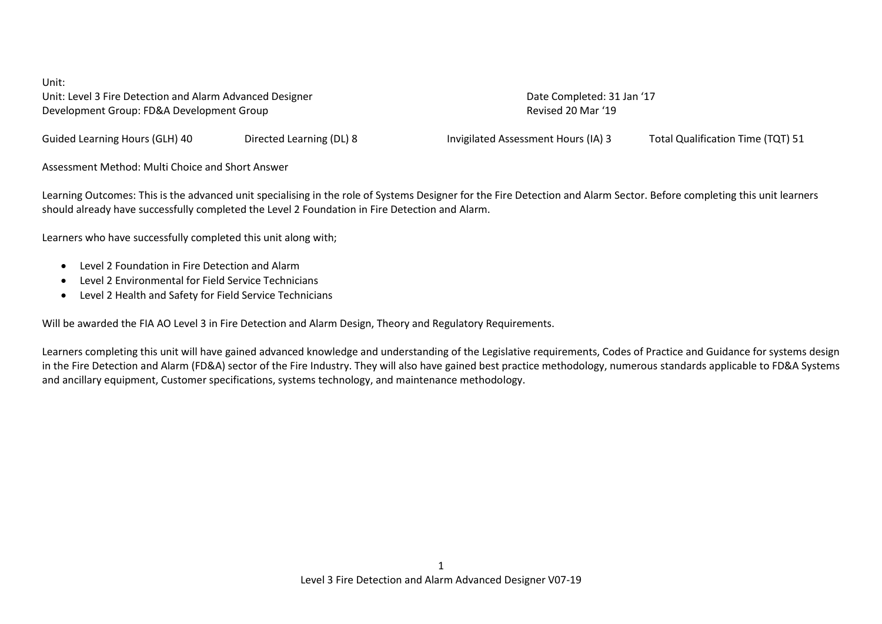Unit: Unit: Level 3 Fire Detection and Alarm Advanced Designer National Completed: 31 Jan '17 Development Group: FD&A Development Group Revised 20 Mar '19

Guided Learning Hours (GLH) 40 Directed Learning (DL) 8 Invigilated Assessment Hours (IA) 3 Total Qualification Time (TQT) 51

Assessment Method: Multi Choice and Short Answer

Learning Outcomes: This is the advanced unit specialising in the role of Systems Designer for the Fire Detection and Alarm Sector. Before completing this unit learners should already have successfully completed the Level 2 Foundation in Fire Detection and Alarm.

Learners who have successfully completed this unit along with;

- Level 2 Foundation in Fire Detection and Alarm
- Level 2 Environmental for Field Service Technicians
- Level 2 Health and Safety for Field Service Technicians

Will be awarded the FIA AO Level 3 in Fire Detection and Alarm Design, Theory and Regulatory Requirements.

Learners completing this unit will have gained advanced knowledge and understanding of the Legislative requirements, Codes of Practice and Guidance for systems design in the Fire Detection and Alarm (FD&A) sector of the Fire Industry. They will also have gained best practice methodology, numerous standards applicable to FD&A Systems and ancillary equipment, Customer specifications, systems technology, and maintenance methodology.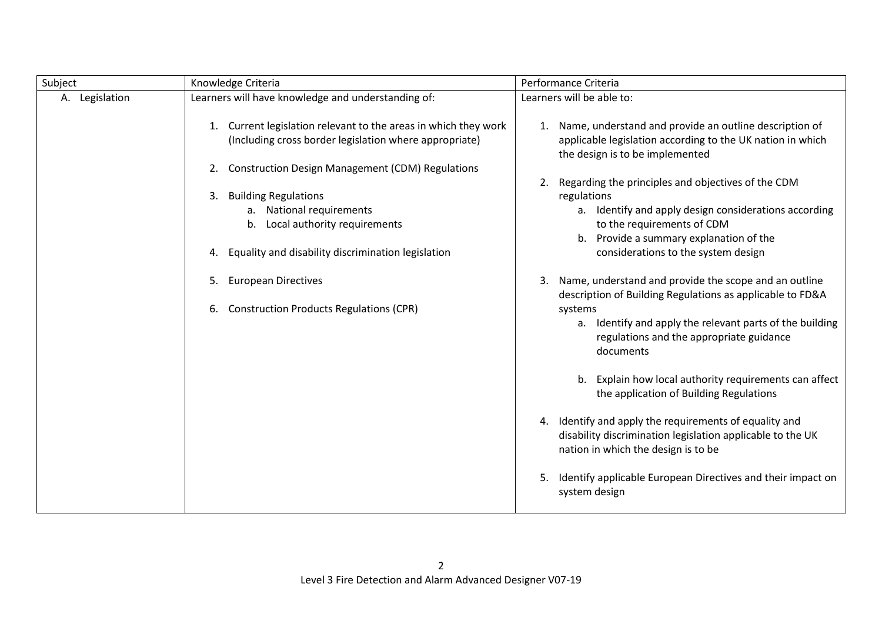| Subject        | Knowledge Criteria                                                                                                                                                                | Performance Criteria                                                                                                                                                                                                                               |
|----------------|-----------------------------------------------------------------------------------------------------------------------------------------------------------------------------------|----------------------------------------------------------------------------------------------------------------------------------------------------------------------------------------------------------------------------------------------------|
| A. Legislation | Learners will have knowledge and understanding of:                                                                                                                                | Learners will be able to:                                                                                                                                                                                                                          |
|                | Current legislation relevant to the areas in which they work<br>(Including cross border legislation where appropriate)<br><b>Construction Design Management (CDM) Regulations</b> | 1. Name, understand and provide an outline description of<br>applicable legislation according to the UK nation in which<br>the design is to be implemented                                                                                         |
|                | <b>Building Regulations</b><br>a. National requirements<br>Local authority requirements<br>b.<br>Equality and disability discrimination legislation<br>4.                         | Regarding the principles and objectives of the CDM<br>2.<br>regulations<br>a. Identify and apply design considerations according<br>to the requirements of CDM<br>b. Provide a summary explanation of the<br>considerations to the system design   |
|                | <b>European Directives</b><br><b>Construction Products Regulations (CPR)</b><br>6.                                                                                                | Name, understand and provide the scope and an outline<br>description of Building Regulations as applicable to FD&A<br>systems<br>a. Identify and apply the relevant parts of the building<br>regulations and the appropriate guidance<br>documents |
|                |                                                                                                                                                                                   | b. Explain how local authority requirements can affect<br>the application of Building Regulations                                                                                                                                                  |
|                |                                                                                                                                                                                   | 4. Identify and apply the requirements of equality and<br>disability discrimination legislation applicable to the UK<br>nation in which the design is to be                                                                                        |
|                |                                                                                                                                                                                   | Identify applicable European Directives and their impact on<br>5.<br>system design                                                                                                                                                                 |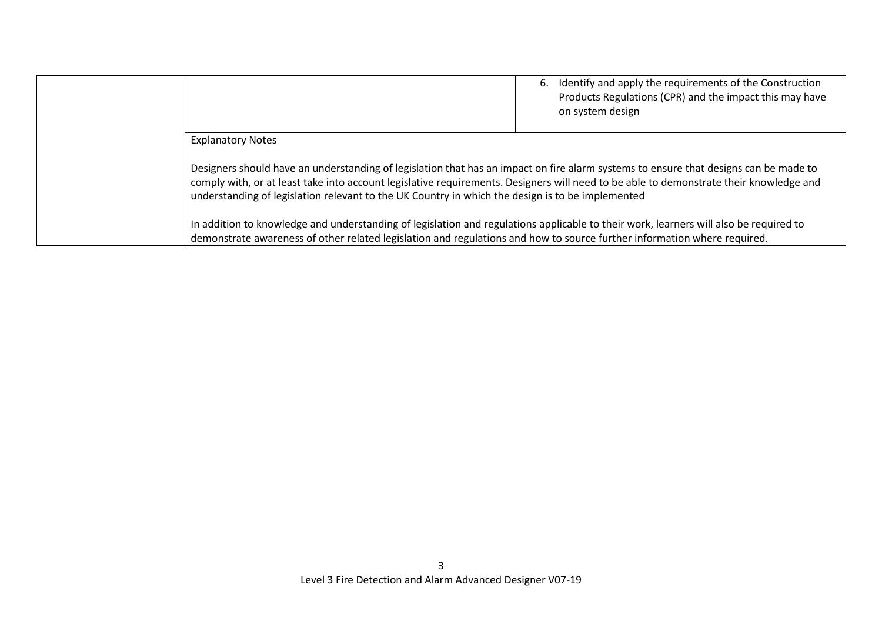|                                                                                                                                                                                                                                                                                                                                                                                    | 6. Identify and apply the requirements of the Construction<br>Products Regulations (CPR) and the impact this may have<br>on system design |
|------------------------------------------------------------------------------------------------------------------------------------------------------------------------------------------------------------------------------------------------------------------------------------------------------------------------------------------------------------------------------------|-------------------------------------------------------------------------------------------------------------------------------------------|
| <b>Explanatory Notes</b>                                                                                                                                                                                                                                                                                                                                                           |                                                                                                                                           |
| Designers should have an understanding of legislation that has an impact on fire alarm systems to ensure that designs can be made to<br>comply with, or at least take into account legislative requirements. Designers will need to be able to demonstrate their knowledge and<br>understanding of legislation relevant to the UK Country in which the design is to be implemented |                                                                                                                                           |
| In addition to knowledge and understanding of legislation and regulations applicable to their work, learners will also be required to<br>demonstrate awareness of other related legislation and regulations and how to source further information where required.                                                                                                                  |                                                                                                                                           |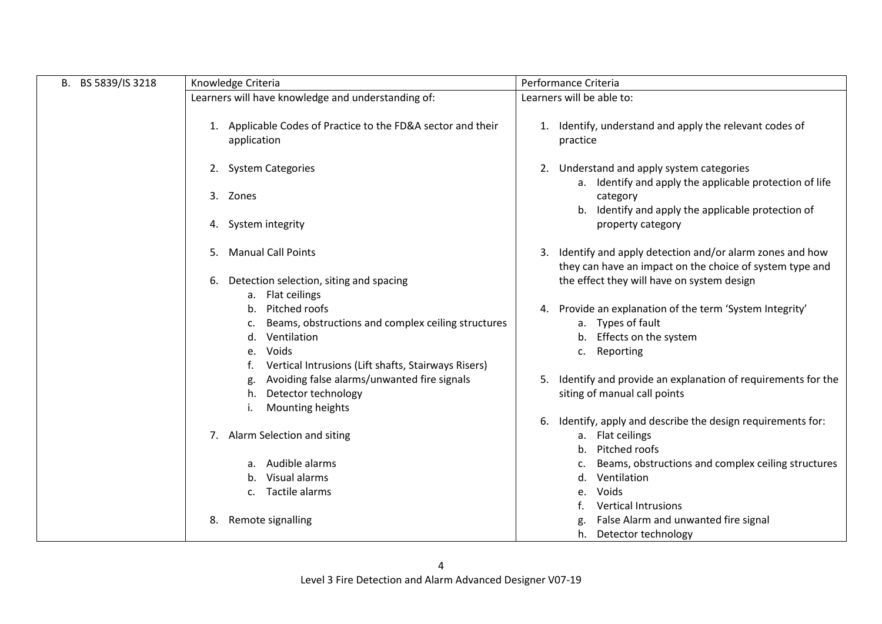| B. BS 5839/IS 3218 | Knowledge Criteria                                                                                           | Performance Criteria                                                                                                      |
|--------------------|--------------------------------------------------------------------------------------------------------------|---------------------------------------------------------------------------------------------------------------------------|
|                    | Learners will have knowledge and understanding of:                                                           | Learners will be able to:                                                                                                 |
|                    | 1. Applicable Codes of Practice to the FD&A sector and their<br>application                                  | 1. Identify, understand and apply the relevant codes of<br>practice                                                       |
|                    | <b>System Categories</b><br>2.                                                                               | Understand and apply system categories<br>2.<br>a. Identify and apply the applicable protection of life                   |
|                    | Zones<br>3.                                                                                                  | category<br>b. Identify and apply the applicable protection of                                                            |
|                    | System integrity<br>4.                                                                                       | property category                                                                                                         |
|                    | <b>Manual Call Points</b><br>5.                                                                              | Identify and apply detection and/or alarm zones and how<br>3.<br>they can have an impact on the choice of system type and |
|                    | Detection selection, siting and spacing<br>6.                                                                | the effect they will have on system design                                                                                |
|                    | a. Flat ceilings<br>Pitched roofs<br>b.<br>Beams, obstructions and complex ceiling structures<br>Ventilation | 4. Provide an explanation of the term 'System Integrity'<br>a. Types of fault<br>Effects on the system                    |
|                    | Voids<br>e.<br>Vertical Intrusions (Lift shafts, Stairways Risers)                                           | Reporting<br>c.                                                                                                           |
|                    | Avoiding false alarms/unwanted fire signals<br>Detector technology<br>h.<br>Mounting heights                 | Identify and provide an explanation of requirements for the<br>5.<br>siting of manual call points                         |
|                    | Alarm Selection and siting<br>7.                                                                             | Identify, apply and describe the design requirements for:<br>6.<br>Flat ceilings<br>а.<br>Pitched roofs                   |
|                    | a. Audible alarms<br>b. Visual alarms                                                                        | Beams, obstructions and complex ceiling structures<br>Ventilation<br>d.                                                   |
|                    | c. Tactile alarms                                                                                            | Voids<br><b>Vertical Intrusions</b>                                                                                       |
|                    | Remote signalling<br>8.                                                                                      | False Alarm and unwanted fire signal<br>Detector technology<br>h.                                                         |

 $\mathbf{I}$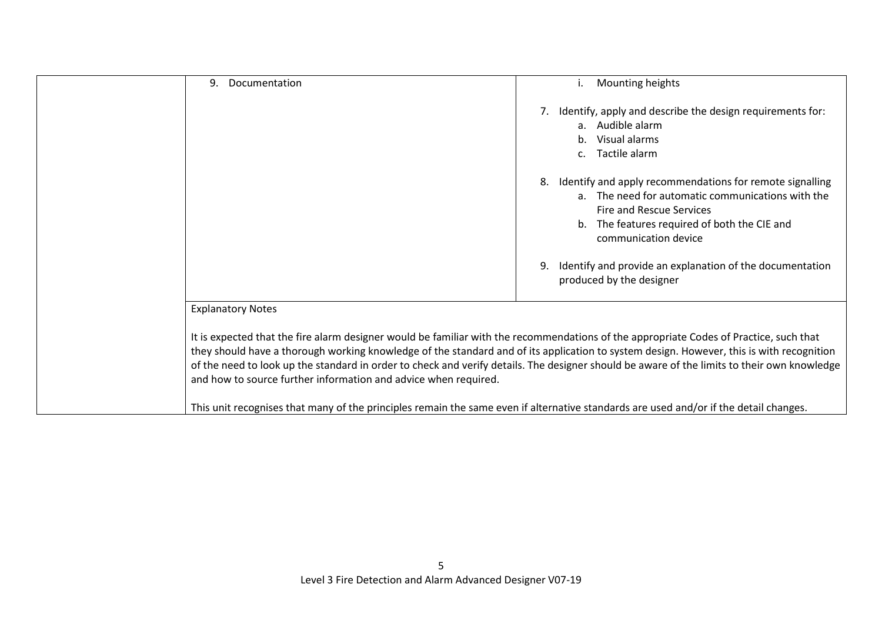| 9.<br>Documentation                                             | Mounting heights<br>i.                                                                                                                                                                                                                                                                                                                                                                                                            |
|-----------------------------------------------------------------|-----------------------------------------------------------------------------------------------------------------------------------------------------------------------------------------------------------------------------------------------------------------------------------------------------------------------------------------------------------------------------------------------------------------------------------|
|                                                                 | Identify, apply and describe the design requirements for:<br>a. Audible alarm<br>b. Visual alarms<br>Tactile alarm<br>c.                                                                                                                                                                                                                                                                                                          |
|                                                                 | Identify and apply recommendations for remote signalling<br>8.<br>a. The need for automatic communications with the<br><b>Fire and Rescue Services</b><br>b. The features required of both the CIE and<br>communication device                                                                                                                                                                                                    |
|                                                                 | Identify and provide an explanation of the documentation<br>produced by the designer                                                                                                                                                                                                                                                                                                                                              |
| <b>Explanatory Notes</b>                                        |                                                                                                                                                                                                                                                                                                                                                                                                                                   |
| and how to source further information and advice when required. | It is expected that the fire alarm designer would be familiar with the recommendations of the appropriate Codes of Practice, such that<br>they should have a thorough working knowledge of the standard and of its application to system design. However, this is with recognition<br>of the need to look up the standard in order to check and verify details. The designer should be aware of the limits to their own knowledge |
|                                                                 | This unit recognises that many of the principles remain the same even if alternative standards are used and/or if the detail changes.                                                                                                                                                                                                                                                                                             |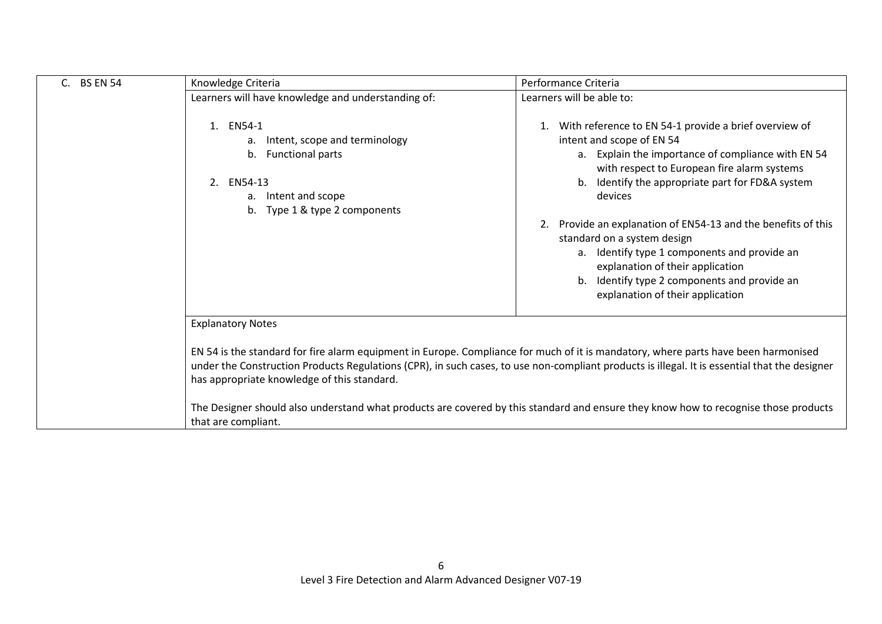| C. BS EN 54 | Knowledge Criteria                                                                                                                                                                | Performance Criteria                                                                                                                                                                                                                                                                                                                                                                                      |
|-------------|-----------------------------------------------------------------------------------------------------------------------------------------------------------------------------------|-----------------------------------------------------------------------------------------------------------------------------------------------------------------------------------------------------------------------------------------------------------------------------------------------------------------------------------------------------------------------------------------------------------|
|             | Learners will have knowledge and understanding of:                                                                                                                                | Learners will be able to:                                                                                                                                                                                                                                                                                                                                                                                 |
|             | 1. EN54-1<br>a. Intent, scope and terminology<br>b. Functional parts<br>2. EN54-13<br>a. Intent and scope<br>b. Type 1 & type 2 components                                        | 1. With reference to EN 54-1 provide a brief overview of<br>intent and scope of EN 54<br>a. Explain the importance of compliance with EN 54<br>with respect to European fire alarm systems<br>b. Identify the appropriate part for FD&A system<br>devices<br>2. Provide an explanation of EN54-13 and the benefits of this<br>standard on a system design<br>a. Identify type 1 components and provide an |
|             |                                                                                                                                                                                   | explanation of their application<br>b. Identify type 2 components and provide an<br>explanation of their application                                                                                                                                                                                                                                                                                      |
|             | <b>Explanatory Notes</b>                                                                                                                                                          |                                                                                                                                                                                                                                                                                                                                                                                                           |
|             | EN 54 is the standard for fire alarm equipment in Europe. Compliance for much of it is mandatory, where parts have been harmonised<br>has appropriate knowledge of this standard. | under the Construction Products Regulations (CPR), in such cases, to use non-compliant products is illegal. It is essential that the designer                                                                                                                                                                                                                                                             |
|             | that are compliant.                                                                                                                                                               | The Designer should also understand what products are covered by this standard and ensure they know how to recognise those products                                                                                                                                                                                                                                                                       |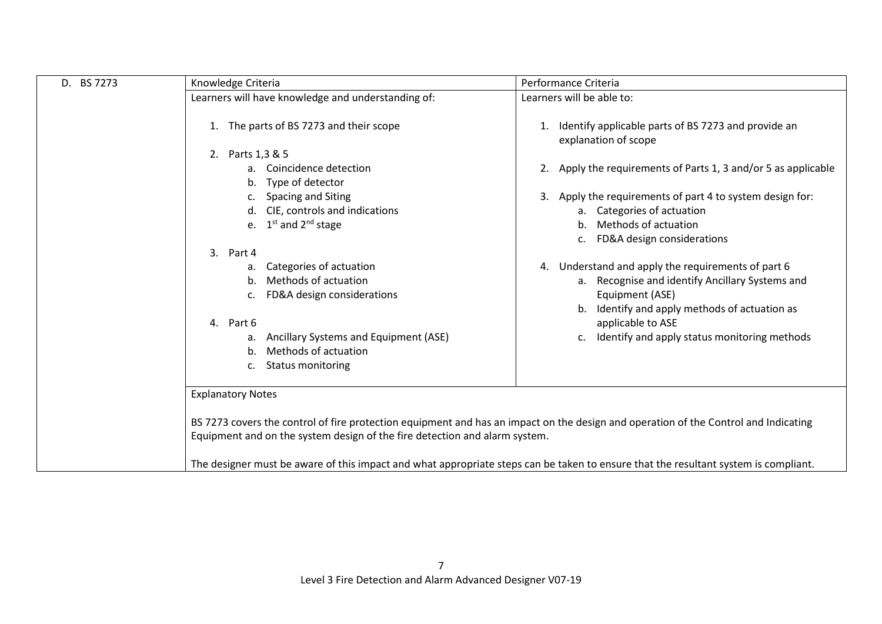| D. BS 7273 | Knowledge Criteria                                                                                                                                                                                                                                                                   | Performance Criteria                                                                                                                                                                                                                              |
|------------|--------------------------------------------------------------------------------------------------------------------------------------------------------------------------------------------------------------------------------------------------------------------------------------|---------------------------------------------------------------------------------------------------------------------------------------------------------------------------------------------------------------------------------------------------|
|            | Learners will have knowledge and understanding of:                                                                                                                                                                                                                                   | Learners will be able to:                                                                                                                                                                                                                         |
|            | The parts of BS 7273 and their scope                                                                                                                                                                                                                                                 | Identify applicable parts of BS 7273 and provide an<br>1.<br>explanation of scope                                                                                                                                                                 |
|            | 2. Parts 1,3 & 5                                                                                                                                                                                                                                                                     |                                                                                                                                                                                                                                                   |
|            | a. Coincidence detection<br>b. Type of detector                                                                                                                                                                                                                                      | 2. Apply the requirements of Parts 1, 3 and/or 5 as applicable                                                                                                                                                                                    |
|            | c. Spacing and Siting<br>d. CIE, controls and indications<br>e. $1^{st}$ and $2^{nd}$ stage                                                                                                                                                                                          | Apply the requirements of part 4 to system design for:<br>3.<br>a. Categories of actuation<br>b. Methods of actuation<br>c. FD&A design considerations                                                                                            |
|            | $\mathbf{3}$ .<br>Part 4<br>Categories of actuation<br>а.<br>Methods of actuation<br>b.<br>FD&A design considerations<br>$\mathsf{C}$ .<br>4. Part 6<br>Ancillary Systems and Equipment (ASE)<br>а.<br>Methods of actuation<br>$b_{-}$<br><b>Status monitoring</b><br>$\mathsf{C}$ . | 4. Understand and apply the requirements of part 6<br>a. Recognise and identify Ancillary Systems and<br>Equipment (ASE)<br>b. Identify and apply methods of actuation as<br>applicable to ASE<br>c. Identify and apply status monitoring methods |
|            | <b>Explanatory Notes</b><br>Equipment and on the system design of the fire detection and alarm system.                                                                                                                                                                               | BS 7273 covers the control of fire protection equipment and has an impact on the design and operation of the Control and Indicating                                                                                                               |
|            |                                                                                                                                                                                                                                                                                      | The designer must be aware of this impact and what appropriate steps can be taken to ensure that the resultant system is compliant.                                                                                                               |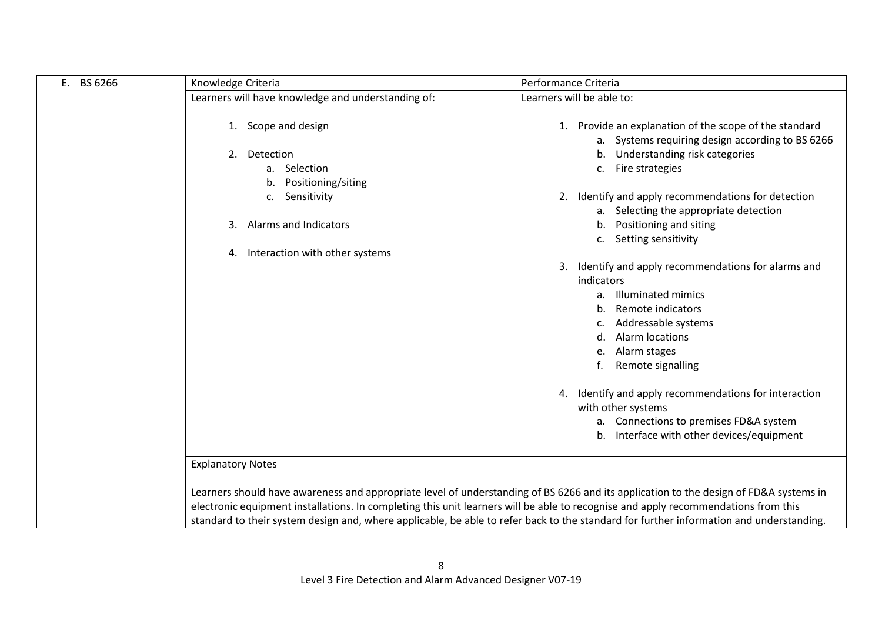| BS 6266<br>E. | Knowledge Criteria                                  | Performance Criteria                                                                                                                                                                                                                                                                                                                                                                                                   |
|---------------|-----------------------------------------------------|------------------------------------------------------------------------------------------------------------------------------------------------------------------------------------------------------------------------------------------------------------------------------------------------------------------------------------------------------------------------------------------------------------------------|
|               | Learners will have knowledge and understanding of:  | Learners will be able to:                                                                                                                                                                                                                                                                                                                                                                                              |
|               | 1. Scope and design<br>2. Detection<br>a. Selection | 1. Provide an explanation of the scope of the standard<br>a. Systems requiring design according to BS 6266<br>b. Understanding risk categories<br>c. Fire strategies                                                                                                                                                                                                                                                   |
|               | Positioning/siting<br>b.<br>Sensitivity<br>c.       | 2. Identify and apply recommendations for detection<br>a. Selecting the appropriate detection                                                                                                                                                                                                                                                                                                                          |
|               | Alarms and Indicators<br>3.                         | b. Positioning and siting<br>c. Setting sensitivity                                                                                                                                                                                                                                                                                                                                                                    |
|               | 4. Interaction with other systems                   |                                                                                                                                                                                                                                                                                                                                                                                                                        |
|               |                                                     | 3. Identify and apply recommendations for alarms and<br>indicators<br>a. Illuminated mimics<br>Remote indicators<br>$h_{\cdot}$<br>Addressable systems<br>Alarm locations<br>d.<br>Alarm stages<br>e.<br>Remote signalling<br>4. Identify and apply recommendations for interaction<br>with other systems<br>a. Connections to premises FD&A system<br>b. Interface with other devices/equipment                       |
|               | <b>Explanatory Notes</b>                            |                                                                                                                                                                                                                                                                                                                                                                                                                        |
|               |                                                     | Learners should have awareness and appropriate level of understanding of BS 6266 and its application to the design of FD&A systems in<br>electronic equipment installations. In completing this unit learners will be able to recognise and apply recommendations from this<br>standard to their system design and, where applicable, be able to refer back to the standard for further information and understanding. |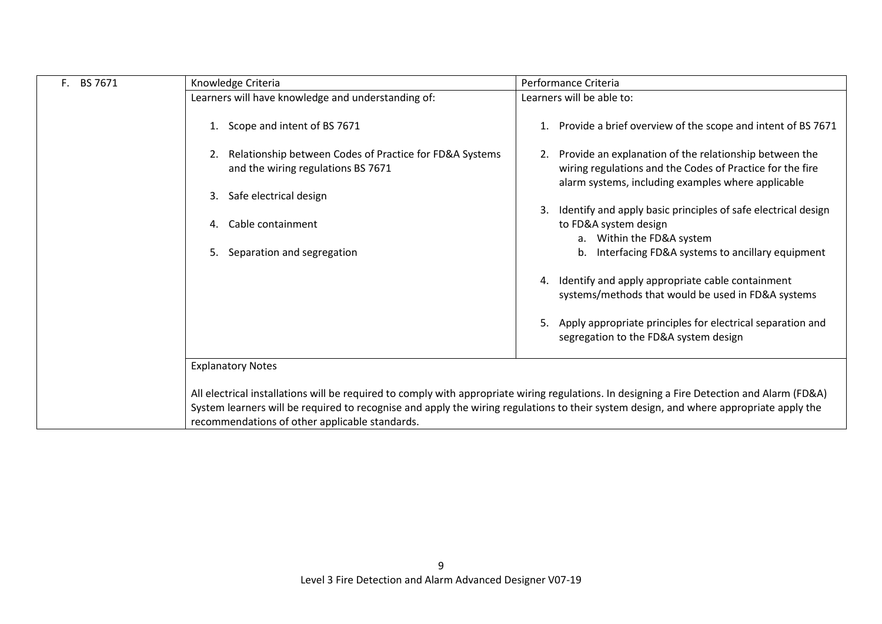| F. BS 7671 | Knowledge Criteria                                                                                                                                                                                                                                                                                                                      | Performance Criteria                                                                                                                                                      |
|------------|-----------------------------------------------------------------------------------------------------------------------------------------------------------------------------------------------------------------------------------------------------------------------------------------------------------------------------------------|---------------------------------------------------------------------------------------------------------------------------------------------------------------------------|
|            | Learners will have knowledge and understanding of:                                                                                                                                                                                                                                                                                      | Learners will be able to:                                                                                                                                                 |
|            | Scope and intent of BS 7671                                                                                                                                                                                                                                                                                                             | Provide a brief overview of the scope and intent of BS 7671                                                                                                               |
|            | Relationship between Codes of Practice for FD&A Systems<br>and the wiring regulations BS 7671                                                                                                                                                                                                                                           | Provide an explanation of the relationship between the<br>wiring regulations and the Codes of Practice for the fire<br>alarm systems, including examples where applicable |
|            | Safe electrical design<br>3.                                                                                                                                                                                                                                                                                                            |                                                                                                                                                                           |
|            | Cable containment<br>4.                                                                                                                                                                                                                                                                                                                 | Identify and apply basic principles of safe electrical design<br>to FD&A system design                                                                                    |
|            | Separation and segregation<br>5.                                                                                                                                                                                                                                                                                                        | a. Within the FD&A system<br>Interfacing FD&A systems to ancillary equipment<br>b.                                                                                        |
|            |                                                                                                                                                                                                                                                                                                                                         | Identify and apply appropriate cable containment<br>4.<br>systems/methods that would be used in FD&A systems                                                              |
|            |                                                                                                                                                                                                                                                                                                                                         | Apply appropriate principles for electrical separation and<br>5.<br>segregation to the FD&A system design                                                                 |
|            | <b>Explanatory Notes</b>                                                                                                                                                                                                                                                                                                                |                                                                                                                                                                           |
|            | All electrical installations will be required to comply with appropriate wiring regulations. In designing a Fire Detection and Alarm (FD&A)<br>System learners will be required to recognise and apply the wiring regulations to their system design, and where appropriate apply the<br>recommendations of other applicable standards. |                                                                                                                                                                           |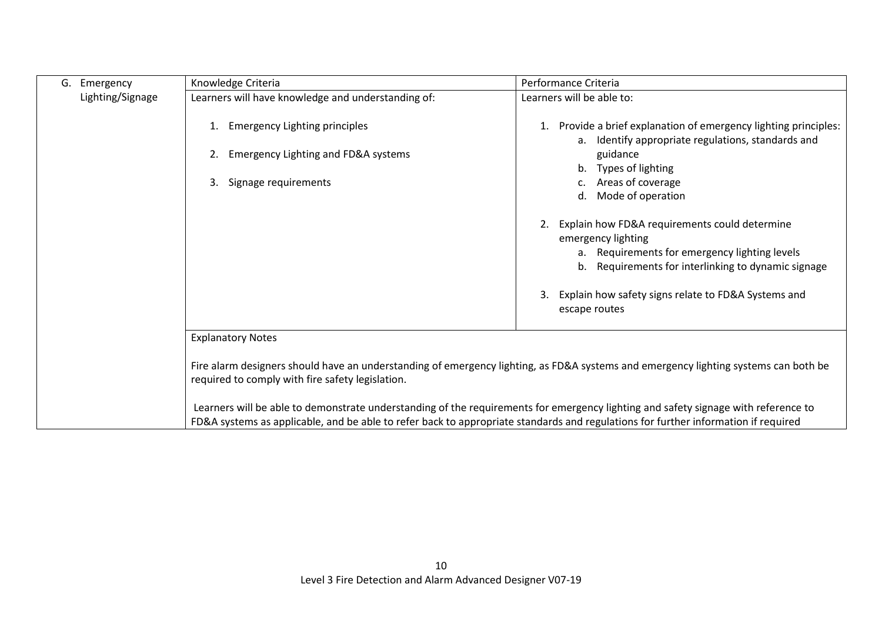| G. Emergency     | Knowledge Criteria                                 | Performance Criteria                                                                                                                                                                                                                                                     |
|------------------|----------------------------------------------------|--------------------------------------------------------------------------------------------------------------------------------------------------------------------------------------------------------------------------------------------------------------------------|
| Lighting/Signage | Learners will have knowledge and understanding of: | Learners will be able to:                                                                                                                                                                                                                                                |
|                  | <b>Emergency Lighting principles</b>               | 1. Provide a brief explanation of emergency lighting principles:<br>a. Identify appropriate regulations, standards and                                                                                                                                                   |
|                  | Emergency Lighting and FD&A systems<br>2.          | guidance<br>b. Types of lighting                                                                                                                                                                                                                                         |
|                  | Signage requirements<br>3.                         | Areas of coverage<br>d. Mode of operation                                                                                                                                                                                                                                |
|                  |                                                    | Explain how FD&A requirements could determine<br>emergency lighting<br>a. Requirements for emergency lighting levels<br>b. Requirements for interlinking to dynamic signage<br>Explain how safety signs relate to FD&A Systems and<br>3.<br>escape routes                |
|                  | <b>Explanatory Notes</b>                           |                                                                                                                                                                                                                                                                          |
|                  | required to comply with fire safety legislation.   | Fire alarm designers should have an understanding of emergency lighting, as FD&A systems and emergency lighting systems can both be                                                                                                                                      |
|                  |                                                    | Learners will be able to demonstrate understanding of the requirements for emergency lighting and safety signage with reference to<br>FD&A systems as applicable, and be able to refer back to appropriate standards and regulations for further information if required |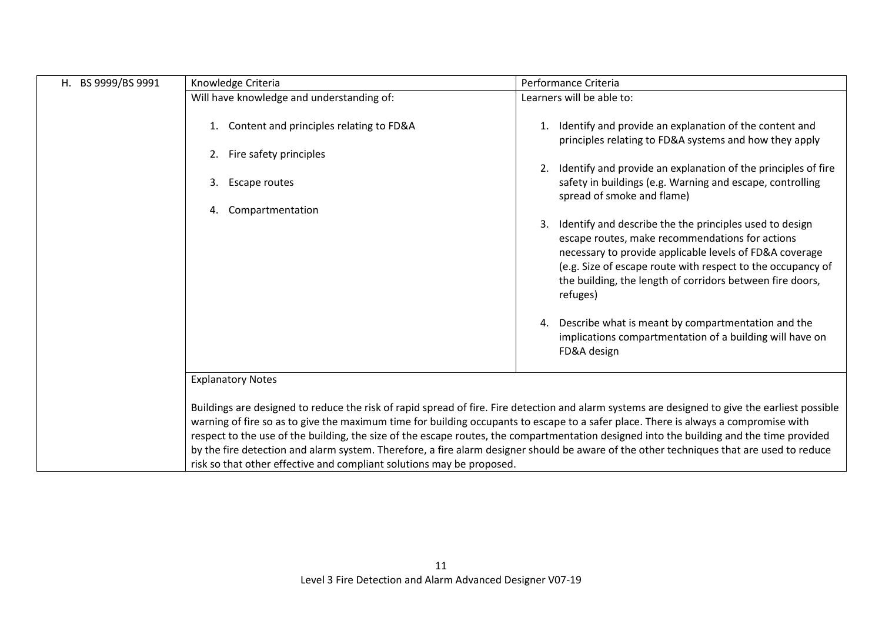| H. BS 9999/BS 9991 | Knowledge Criteria                                                                                                                                                                                                                                                                                                                                                                                                                                                                                   | Performance Criteria                                                                                                                                                                                                                                                                                                |
|--------------------|------------------------------------------------------------------------------------------------------------------------------------------------------------------------------------------------------------------------------------------------------------------------------------------------------------------------------------------------------------------------------------------------------------------------------------------------------------------------------------------------------|---------------------------------------------------------------------------------------------------------------------------------------------------------------------------------------------------------------------------------------------------------------------------------------------------------------------|
|                    | Will have knowledge and understanding of:                                                                                                                                                                                                                                                                                                                                                                                                                                                            | Learners will be able to:                                                                                                                                                                                                                                                                                           |
|                    | Content and principles relating to FD&A<br>1.                                                                                                                                                                                                                                                                                                                                                                                                                                                        | 1. Identify and provide an explanation of the content and<br>principles relating to FD&A systems and how they apply                                                                                                                                                                                                 |
|                    | Fire safety principles<br>2.                                                                                                                                                                                                                                                                                                                                                                                                                                                                         |                                                                                                                                                                                                                                                                                                                     |
|                    | 3.<br><b>Escape routes</b>                                                                                                                                                                                                                                                                                                                                                                                                                                                                           | 2. Identify and provide an explanation of the principles of fire<br>safety in buildings (e.g. Warning and escape, controlling<br>spread of smoke and flame)                                                                                                                                                         |
|                    | Compartmentation<br>4.                                                                                                                                                                                                                                                                                                                                                                                                                                                                               |                                                                                                                                                                                                                                                                                                                     |
|                    |                                                                                                                                                                                                                                                                                                                                                                                                                                                                                                      | Identify and describe the the principles used to design<br>3.<br>escape routes, make recommendations for actions<br>necessary to provide applicable levels of FD&A coverage<br>(e.g. Size of escape route with respect to the occupancy of<br>the building, the length of corridors between fire doors,<br>refuges) |
|                    |                                                                                                                                                                                                                                                                                                                                                                                                                                                                                                      | Describe what is meant by compartmentation and the<br>4.<br>implications compartmentation of a building will have on<br>FD&A design                                                                                                                                                                                 |
|                    | <b>Explanatory Notes</b>                                                                                                                                                                                                                                                                                                                                                                                                                                                                             |                                                                                                                                                                                                                                                                                                                     |
|                    | warning of fire so as to give the maximum time for building occupants to escape to a safer place. There is always a compromise with<br>respect to the use of the building, the size of the escape routes, the compartmentation designed into the building and the time provided<br>by the fire detection and alarm system. Therefore, a fire alarm designer should be aware of the other techniques that are used to reduce<br>risk so that other effective and compliant solutions may be proposed. | Buildings are designed to reduce the risk of rapid spread of fire. Fire detection and alarm systems are designed to give the earliest possible                                                                                                                                                                      |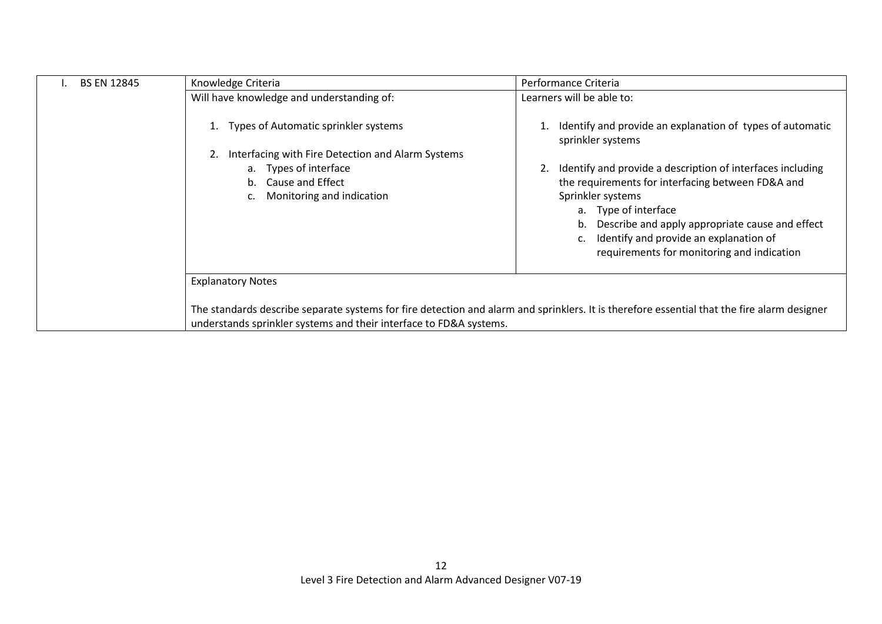| <b>BS EN 12845</b> | Knowledge Criteria                                                                                                                          | Performance Criteria                                                           |
|--------------------|---------------------------------------------------------------------------------------------------------------------------------------------|--------------------------------------------------------------------------------|
|                    | Will have knowledge and understanding of:                                                                                                   | Learners will be able to:                                                      |
|                    | Types of Automatic sprinkler systems<br>Interfacing with Fire Detection and Alarm Systems                                                   | Identify and provide an explanation of types of automatic<br>sprinkler systems |
|                    | a. Types of interface                                                                                                                       | Identify and provide a description of interfaces including                     |
|                    | <b>Cause and Effect</b><br>b.                                                                                                               | the requirements for interfacing between FD&A and                              |
|                    | Monitoring and indication<br>c.                                                                                                             | Sprinkler systems                                                              |
|                    |                                                                                                                                             | a. Type of interface<br>Describe and apply appropriate cause and effect        |
|                    |                                                                                                                                             | c. Identify and provide an explanation of                                      |
|                    |                                                                                                                                             | requirements for monitoring and indication                                     |
|                    | <b>Explanatory Notes</b>                                                                                                                    |                                                                                |
|                    | The standards describe separate systems for fire detection and alarm and sprinklers. It is therefore essential that the fire alarm designer |                                                                                |
|                    | understands sprinkler systems and their interface to FD&A systems.                                                                          |                                                                                |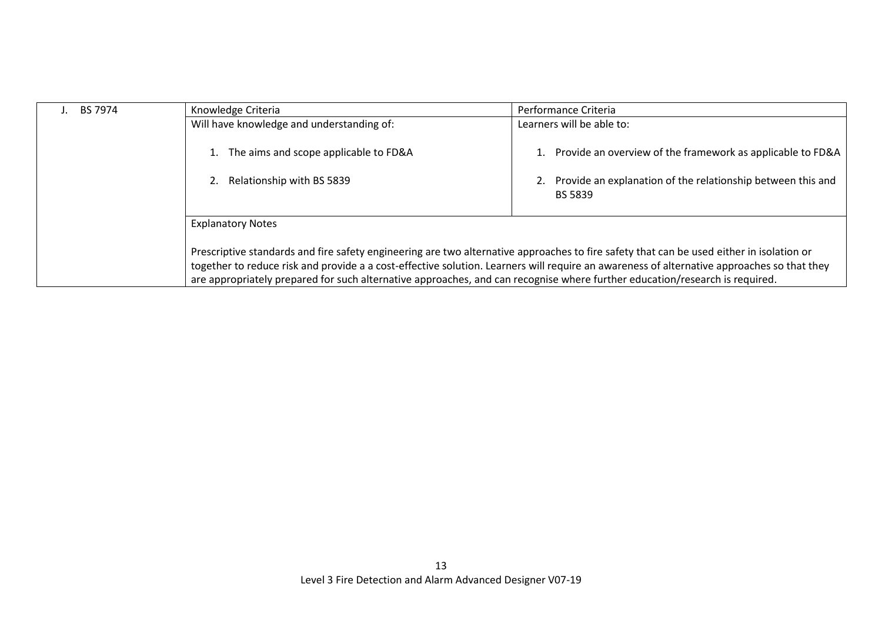| I. BS 7974                                                                                                                                                                                                                                                                | Knowledge Criteria                                                                                                                       | Performance Criteria                                                          |
|---------------------------------------------------------------------------------------------------------------------------------------------------------------------------------------------------------------------------------------------------------------------------|------------------------------------------------------------------------------------------------------------------------------------------|-------------------------------------------------------------------------------|
|                                                                                                                                                                                                                                                                           | Will have knowledge and understanding of:                                                                                                | Learners will be able to:                                                     |
|                                                                                                                                                                                                                                                                           | The aims and scope applicable to FD&A                                                                                                    | Provide an overview of the framework as applicable to FD&A                    |
|                                                                                                                                                                                                                                                                           | Relationship with BS 5839                                                                                                                | Provide an explanation of the relationship between this and<br><b>BS 5839</b> |
|                                                                                                                                                                                                                                                                           | <b>Explanatory Notes</b>                                                                                                                 |                                                                               |
|                                                                                                                                                                                                                                                                           | Prescriptive standards and fire safety engineering are two alternative approaches to fire safety that can be used either in isolation or |                                                                               |
| together to reduce risk and provide a a cost-effective solution. Learners will require an awareness of alternative approaches so that they<br>are appropriately prepared for such alternative approaches, and can recognise where further education/research is required. |                                                                                                                                          |                                                                               |
|                                                                                                                                                                                                                                                                           |                                                                                                                                          |                                                                               |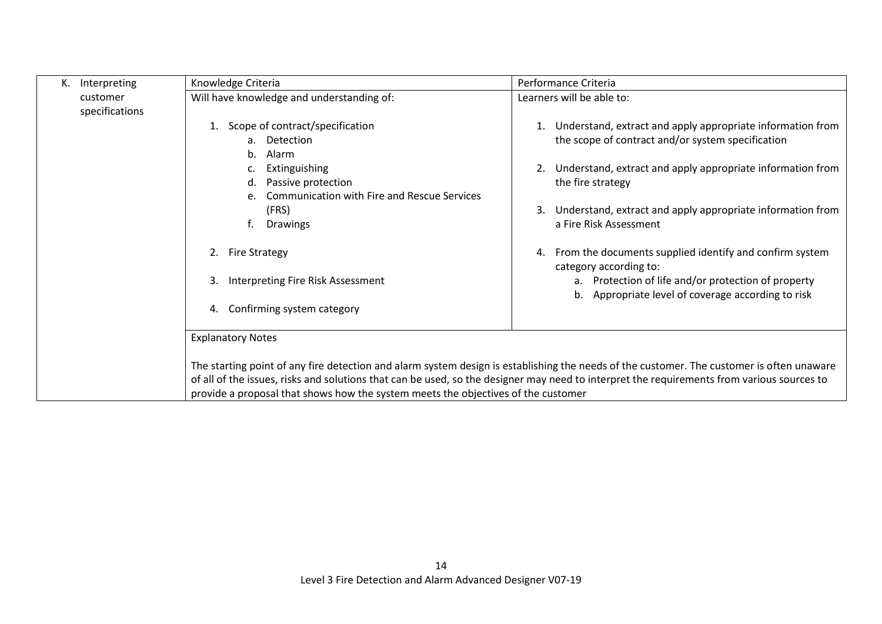| K. Interpreting | Knowledge Criteria                                                                | Performance Criteria                                                                                                                       |
|-----------------|-----------------------------------------------------------------------------------|--------------------------------------------------------------------------------------------------------------------------------------------|
| customer        | Will have knowledge and understanding of:                                         | Learners will be able to:                                                                                                                  |
| specifications  |                                                                                   |                                                                                                                                            |
|                 | Scope of contract/specification<br>1.                                             | Understand, extract and apply appropriate information from<br>1.                                                                           |
|                 | a. Detection                                                                      | the scope of contract and/or system specification                                                                                          |
|                 | Alarm<br>b.                                                                       |                                                                                                                                            |
|                 | Extinguishing                                                                     | 2. Understand, extract and apply appropriate information from                                                                              |
|                 | Passive protection<br>d.                                                          | the fire strategy                                                                                                                          |
|                 | <b>Communication with Fire and Rescue Services</b>                                |                                                                                                                                            |
|                 | (FRS)<br>f.<br>Drawings                                                           | Understand, extract and apply appropriate information from<br>3.<br>a Fire Risk Assessment                                                 |
|                 |                                                                                   |                                                                                                                                            |
|                 | <b>Fire Strategy</b><br>2.                                                        | From the documents supplied identify and confirm system<br>4.                                                                              |
|                 |                                                                                   | category according to:                                                                                                                     |
|                 | Interpreting Fire Risk Assessment<br>3.                                           | a. Protection of life and/or protection of property                                                                                        |
|                 |                                                                                   | b. Appropriate level of coverage according to risk                                                                                         |
|                 | Confirming system category<br>4.                                                  |                                                                                                                                            |
|                 |                                                                                   |                                                                                                                                            |
|                 | <b>Explanatory Notes</b>                                                          |                                                                                                                                            |
|                 |                                                                                   |                                                                                                                                            |
|                 |                                                                                   | The starting point of any fire detection and alarm system design is establishing the needs of the customer. The customer is often unaware  |
|                 |                                                                                   | of all of the issues, risks and solutions that can be used, so the designer may need to interpret the requirements from various sources to |
|                 | provide a proposal that shows how the system meets the objectives of the customer |                                                                                                                                            |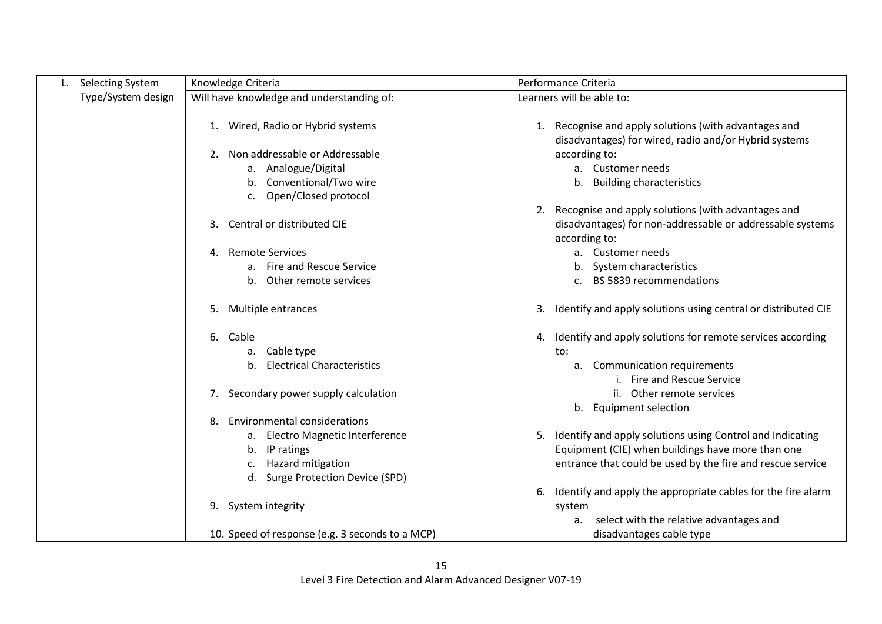| <b>Selecting System</b> | Knowledge Criteria                                                                                                           | Performance Criteria                                                                                                                                                                |
|-------------------------|------------------------------------------------------------------------------------------------------------------------------|-------------------------------------------------------------------------------------------------------------------------------------------------------------------------------------|
| Type/System design      | Will have knowledge and understanding of:                                                                                    | Learners will be able to:                                                                                                                                                           |
|                         | 1. Wired, Radio or Hybrid systems<br>Non addressable or Addressable<br>2.<br>a. Analogue/Digital<br>b. Conventional/Two wire | 1. Recognise and apply solutions (with advantages and<br>disadvantages) for wired, radio and/or Hybrid systems<br>according to:<br>a. Customer needs<br>b. Building characteristics |
|                         | c. Open/Closed protocol                                                                                                      |                                                                                                                                                                                     |
|                         | Central or distributed CIE<br>3.                                                                                             | 2. Recognise and apply solutions (with advantages and<br>disadvantages) for non-addressable or addressable systems<br>according to:                                                 |
|                         | <b>Remote Services</b><br>4.                                                                                                 | a. Customer needs                                                                                                                                                                   |
|                         | a. Fire and Rescue Service                                                                                                   | b. System characteristics                                                                                                                                                           |
|                         | Other remote services<br>b.                                                                                                  | c. BS 5839 recommendations                                                                                                                                                          |
|                         | Multiple entrances<br>5.                                                                                                     | Identify and apply solutions using central or distributed CIE<br>3.                                                                                                                 |
|                         | 6.<br>Cable                                                                                                                  | 4. Identify and apply solutions for remote services according                                                                                                                       |
|                         | a. Cable type                                                                                                                | to:                                                                                                                                                                                 |
|                         | <b>Electrical Characteristics</b><br>b.                                                                                      | a. Communication requirements                                                                                                                                                       |
|                         |                                                                                                                              | i. Fire and Rescue Service                                                                                                                                                          |
|                         | Secondary power supply calculation<br>7.                                                                                     | ii. Other remote services                                                                                                                                                           |
|                         |                                                                                                                              | b. Equipment selection                                                                                                                                                              |
|                         | <b>Environmental considerations</b><br>8.                                                                                    |                                                                                                                                                                                     |
|                         | Electro Magnetic Interference<br>а.<br>IP ratings<br>b.<br>Hazard mitigation                                                 | 5. Identify and apply solutions using Control and Indicating<br>Equipment (CIE) when buildings have more than one<br>entrance that could be used by the fire and rescue service     |
|                         | Surge Protection Device (SPD)<br>d.                                                                                          |                                                                                                                                                                                     |
|                         |                                                                                                                              | Identify and apply the appropriate cables for the fire alarm<br>6.                                                                                                                  |
|                         | 9. System integrity                                                                                                          | system                                                                                                                                                                              |
|                         |                                                                                                                              | select with the relative advantages and<br>a.                                                                                                                                       |
|                         | 10. Speed of response (e.g. 3 seconds to a MCP)                                                                              | disadvantages cable type                                                                                                                                                            |

 $\mathbf{I}$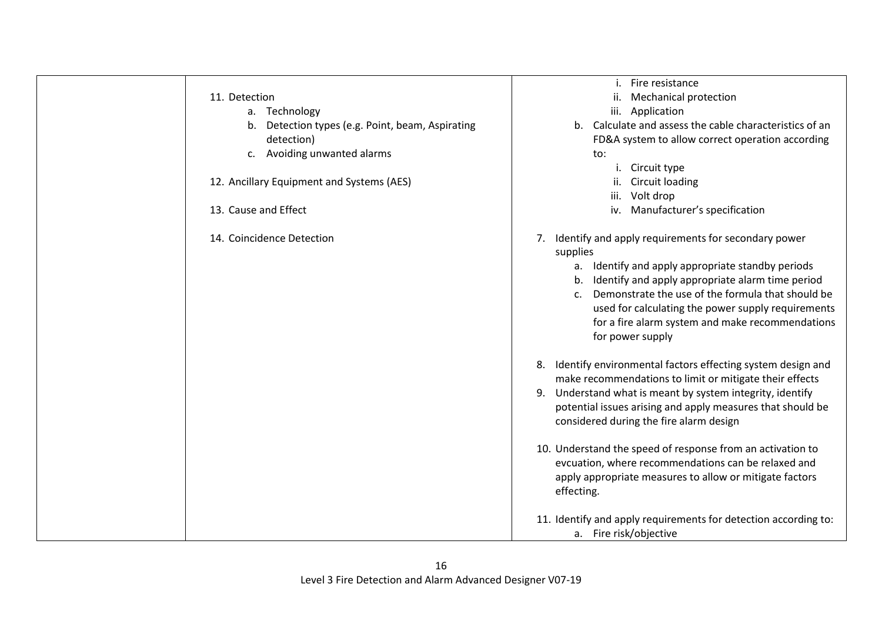|                                                  | Fire resistance                                                                                                                                                                                                                                                                                               |
|--------------------------------------------------|---------------------------------------------------------------------------------------------------------------------------------------------------------------------------------------------------------------------------------------------------------------------------------------------------------------|
| 11. Detection                                    | ii. Mechanical protection                                                                                                                                                                                                                                                                                     |
| a. Technology                                    | iii. Application                                                                                                                                                                                                                                                                                              |
| b. Detection types (e.g. Point, beam, Aspirating | b. Calculate and assess the cable characteristics of an                                                                                                                                                                                                                                                       |
| detection)                                       | FD&A system to allow correct operation according                                                                                                                                                                                                                                                              |
| Avoiding unwanted alarms<br>c.                   | to:                                                                                                                                                                                                                                                                                                           |
|                                                  | i.<br>Circuit type                                                                                                                                                                                                                                                                                            |
| 12. Ancillary Equipment and Systems (AES)        | <b>Circuit loading</b>                                                                                                                                                                                                                                                                                        |
|                                                  | iii.<br>Volt drop                                                                                                                                                                                                                                                                                             |
| 13. Cause and Effect                             | iv. Manufacturer's specification                                                                                                                                                                                                                                                                              |
| 14. Coincidence Detection                        | Identify and apply requirements for secondary power<br>7.<br>supplies                                                                                                                                                                                                                                         |
|                                                  | a. Identify and apply appropriate standby periods<br>b. Identify and apply appropriate alarm time period<br>Demonstrate the use of the formula that should be<br>$\mathsf{C}$ .<br>used for calculating the power supply requirements<br>for a fire alarm system and make recommendations<br>for power supply |
|                                                  | Identify environmental factors effecting system design and<br>8.<br>make recommendations to limit or mitigate their effects                                                                                                                                                                                   |
|                                                  | Understand what is meant by system integrity, identify<br>9.                                                                                                                                                                                                                                                  |
|                                                  | potential issues arising and apply measures that should be<br>considered during the fire alarm design                                                                                                                                                                                                         |
|                                                  | 10. Understand the speed of response from an activation to<br>evcuation, where recommendations can be relaxed and<br>apply appropriate measures to allow or mitigate factors<br>effecting.                                                                                                                    |
|                                                  | 11. Identify and apply requirements for detection according to:<br>a. Fire risk/objective                                                                                                                                                                                                                     |

 $\mathbf{I}$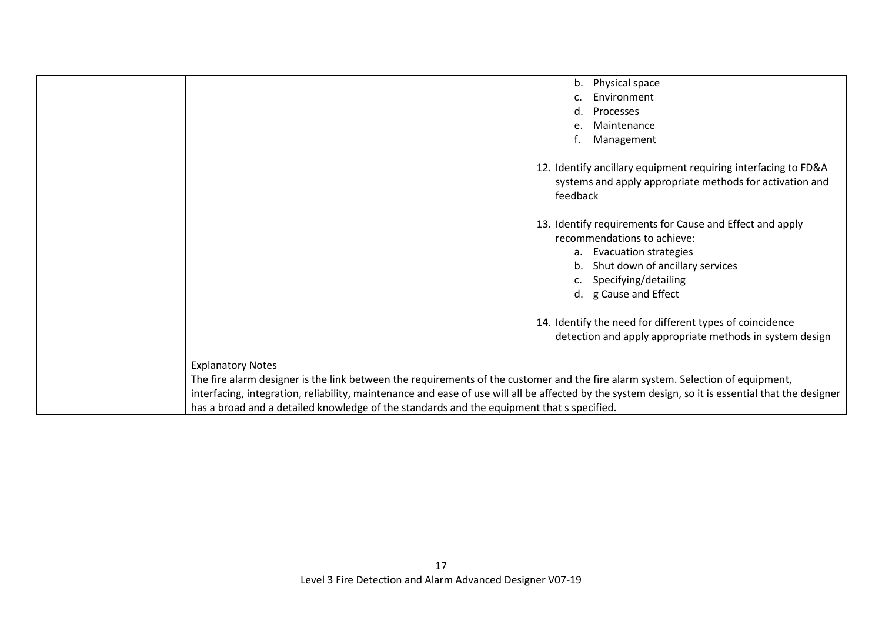|                                                                                                                                                    | b. Physical space                                              |
|----------------------------------------------------------------------------------------------------------------------------------------------------|----------------------------------------------------------------|
|                                                                                                                                                    | Environment                                                    |
|                                                                                                                                                    | Processes<br>d.                                                |
|                                                                                                                                                    | Maintenance<br>e                                               |
|                                                                                                                                                    | Management                                                     |
|                                                                                                                                                    |                                                                |
|                                                                                                                                                    | 12. Identify ancillary equipment requiring interfacing to FD&A |
|                                                                                                                                                    | systems and apply appropriate methods for activation and       |
|                                                                                                                                                    | feedback                                                       |
|                                                                                                                                                    |                                                                |
|                                                                                                                                                    | 13. Identify requirements for Cause and Effect and apply       |
|                                                                                                                                                    | recommendations to achieve:                                    |
|                                                                                                                                                    | a. Evacuation strategies                                       |
|                                                                                                                                                    | b. Shut down of ancillary services                             |
|                                                                                                                                                    | c. Specifying/detailing                                        |
|                                                                                                                                                    | d. g Cause and Effect                                          |
|                                                                                                                                                    |                                                                |
|                                                                                                                                                    | 14. Identify the need for different types of coincidence       |
|                                                                                                                                                    | detection and apply appropriate methods in system design       |
|                                                                                                                                                    |                                                                |
| <b>Explanatory Notes</b>                                                                                                                           |                                                                |
| The fire alarm designer is the link between the requirements of the customer and the fire alarm system. Selection of equipment,                    |                                                                |
| interfacing, integration, reliability, maintenance and ease of use will all be affected by the system design, so it is essential that the designer |                                                                |
| has a broad and a detailed knowledge of the standards and the equipment that s specified.                                                          |                                                                |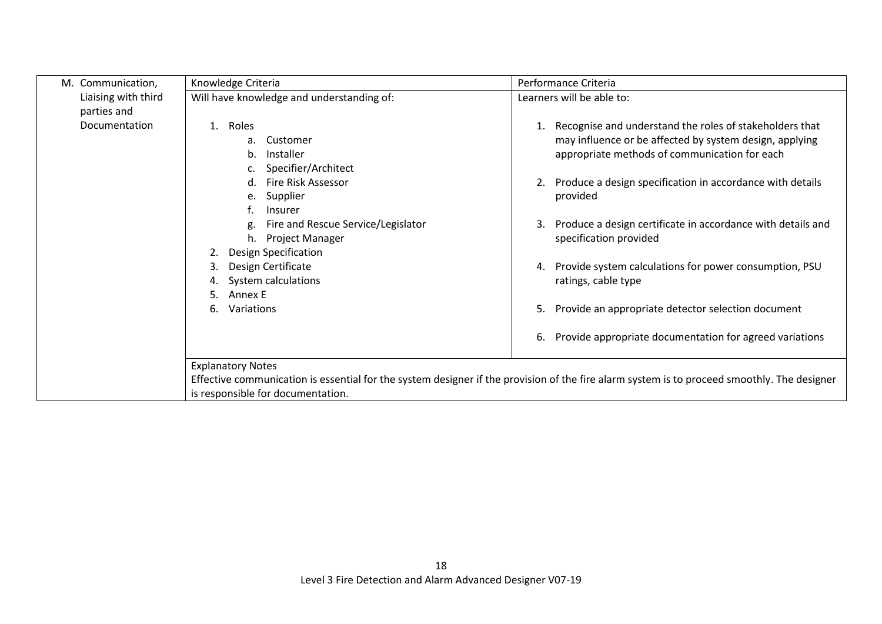| M. Communication,   | Knowledge Criteria                                          | Performance Criteria                                                                                                                        |
|---------------------|-------------------------------------------------------------|---------------------------------------------------------------------------------------------------------------------------------------------|
| Liaising with third | Will have knowledge and understanding of:                   | Learners will be able to:                                                                                                                   |
| parties and         |                                                             |                                                                                                                                             |
| Documentation       | 1. Roles                                                    | 1. Recognise and understand the roles of stakeholders that                                                                                  |
|                     | Customer<br>a.<br>Installer<br>b.                           | may influence or be affected by system design, applying<br>appropriate methods of communication for each                                    |
|                     | Specifier/Architect                                         |                                                                                                                                             |
|                     | Fire Risk Assessor<br>$d_{\cdot}$                           | 2. Produce a design specification in accordance with details                                                                                |
|                     | Supplier<br>e.                                              | provided                                                                                                                                    |
|                     | Insurer                                                     |                                                                                                                                             |
|                     | Fire and Rescue Service/Legislator<br>Project Manager<br>h. | Produce a design certificate in accordance with details and<br>3.<br>specification provided                                                 |
|                     | <b>Design Specification</b><br>2.                           |                                                                                                                                             |
|                     | Design Certificate<br>3.                                    | 4. Provide system calculations for power consumption, PSU                                                                                   |
|                     | System calculations<br>4.                                   | ratings, cable type                                                                                                                         |
|                     | 5.<br>Annex E                                               |                                                                                                                                             |
|                     | Variations<br>6.                                            | Provide an appropriate detector selection document<br>5.                                                                                    |
|                     |                                                             | Provide appropriate documentation for agreed variations<br>6.                                                                               |
|                     | <b>Explanatory Notes</b>                                    |                                                                                                                                             |
|                     |                                                             | Effective communication is essential for the system designer if the provision of the fire alarm system is to proceed smoothly. The designer |
|                     | is responsible for documentation.                           |                                                                                                                                             |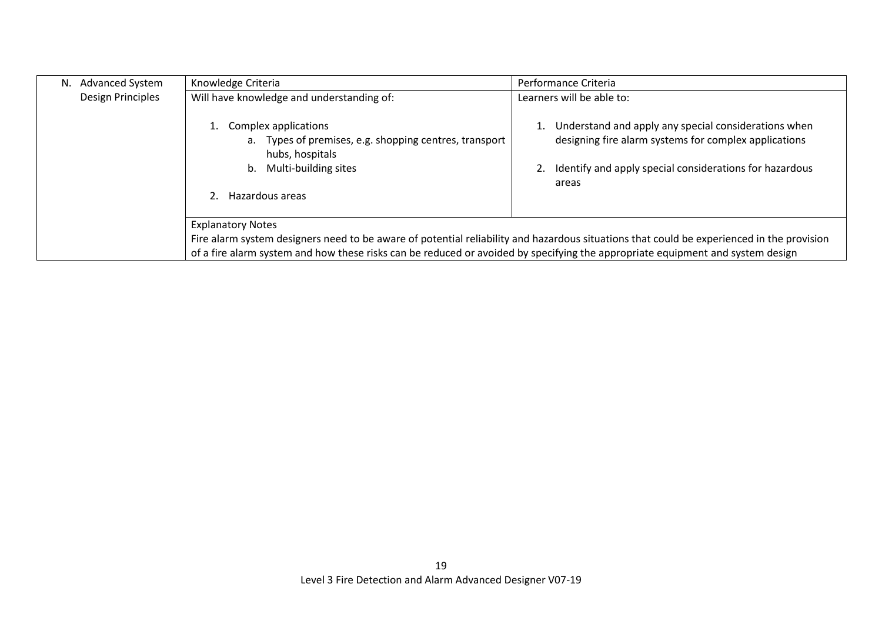| <b>Advanced System</b><br>N. | Knowledge Criteria                                                                                                                                                                                                                                                                                      | Performance Criteria                                                                                                                                                              |
|------------------------------|---------------------------------------------------------------------------------------------------------------------------------------------------------------------------------------------------------------------------------------------------------------------------------------------------------|-----------------------------------------------------------------------------------------------------------------------------------------------------------------------------------|
| Design Principles            | Will have knowledge and understanding of:                                                                                                                                                                                                                                                               | Learners will be able to:                                                                                                                                                         |
|                              | Complex applications<br>a. Types of premises, e.g. shopping centres, transport<br>hubs, hospitals<br>Multi-building sites<br>b.                                                                                                                                                                         | Understand and apply any special considerations when<br>designing fire alarm systems for complex applications<br>Identify and apply special considerations for hazardous<br>areas |
|                              | Hazardous areas                                                                                                                                                                                                                                                                                         |                                                                                                                                                                                   |
|                              | <b>Explanatory Notes</b><br>Fire alarm system designers need to be aware of potential reliability and hazardous situations that could be experienced in the provision<br>of a fire alarm system and how these risks can be reduced or avoided by specifying the appropriate equipment and system design |                                                                                                                                                                                   |